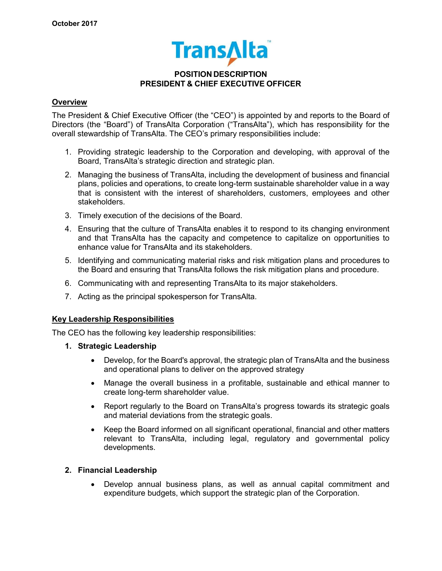

# POSITION DESCRIPTION PRESIDENT & CHIEF EXECUTIVE OFFICER

### **Overview**

The President & Chief Executive Officer (the "CEO") is appointed by and reports to the Board of Directors (the "Board") of TransAlta Corporation ("TransAlta"), which has responsibility for the overall stewardship of TransAlta. The CEO's primary responsibilities include:

- 1. Providing strategic leadership to the Corporation and developing, with approval of the Board, TransAlta's strategic direction and strategic plan.
- 2. Managing the business of TransAlta, including the development of business and financial plans, policies and operations, to create long-term sustainable shareholder value in a way that is consistent with the interest of shareholders, customers, employees and other stakeholders.
- 3. Timely execution of the decisions of the Board.
- 4. Ensuring that the culture of TransAlta enables it to respond to its changing environment and that TransAlta has the capacity and competence to capitalize on opportunities to enhance value for TransAlta and its stakeholders.
- 5. Identifying and communicating material risks and risk mitigation plans and procedures to the Board and ensuring that TransAlta follows the risk mitigation plans and procedure.
- 6. Communicating with and representing TransAlta to its major stakeholders.
- 7. Acting as the principal spokesperson for TransAlta.

## Key Leadership Responsibilities

The CEO has the following key leadership responsibilities:

- 1. Strategic Leadership
	- Develop, for the Board's approval, the strategic plan of TransAlta and the business and operational plans to deliver on the approved strategy
	- Manage the overall business in a profitable, sustainable and ethical manner to create long-term shareholder value.
	- Report regularly to the Board on TransAlta's progress towards its strategic goals and material deviations from the strategic goals.
	- Keep the Board informed on all significant operational, financial and other matters relevant to TransAlta, including legal, regulatory and governmental policy developments.

#### 2. Financial Leadership

 Develop annual business plans, as well as annual capital commitment and expenditure budgets, which support the strategic plan of the Corporation.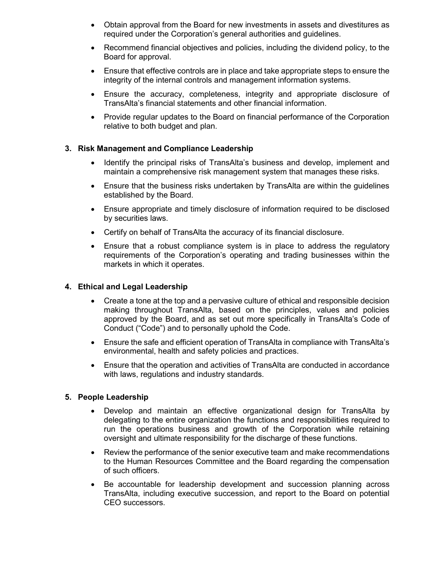- Obtain approval from the Board for new investments in assets and divestitures as required under the Corporation's general authorities and guidelines.
- Recommend financial objectives and policies, including the dividend policy, to the Board for approval.
- Ensure that effective controls are in place and take appropriate steps to ensure the integrity of the internal controls and management information systems.
- Ensure the accuracy, completeness, integrity and appropriate disclosure of TransAlta's financial statements and other financial information.
- Provide regular updates to the Board on financial performance of the Corporation relative to both budget and plan.

## 3. Risk Management and Compliance Leadership

- Identify the principal risks of TransAlta's business and develop, implement and maintain a comprehensive risk management system that manages these risks.
- Ensure that the business risks undertaken by TransAlta are within the guidelines established by the Board.
- Ensure appropriate and timely disclosure of information required to be disclosed by securities laws.
- Certify on behalf of TransAlta the accuracy of its financial disclosure.
- Ensure that a robust compliance system is in place to address the regulatory requirements of the Corporation's operating and trading businesses within the markets in which it operates.

### 4. Ethical and Legal Leadership

- Create a tone at the top and a pervasive culture of ethical and responsible decision making throughout TransAlta, based on the principles, values and policies approved by the Board, and as set out more specifically in TransAlta's Code of Conduct ("Code") and to personally uphold the Code.
- Ensure the safe and efficient operation of TransAlta in compliance with TransAlta's environmental, health and safety policies and practices.
- Ensure that the operation and activities of TransAlta are conducted in accordance with laws, regulations and industry standards.

#### 5. People Leadership

- Develop and maintain an effective organizational design for TransAlta by delegating to the entire organization the functions and responsibilities required to run the operations business and growth of the Corporation while retaining oversight and ultimate responsibility for the discharge of these functions.
- Review the performance of the senior executive team and make recommendations to the Human Resources Committee and the Board regarding the compensation of such officers.
- Be accountable for leadership development and succession planning across TransAlta, including executive succession, and report to the Board on potential CEO successors.